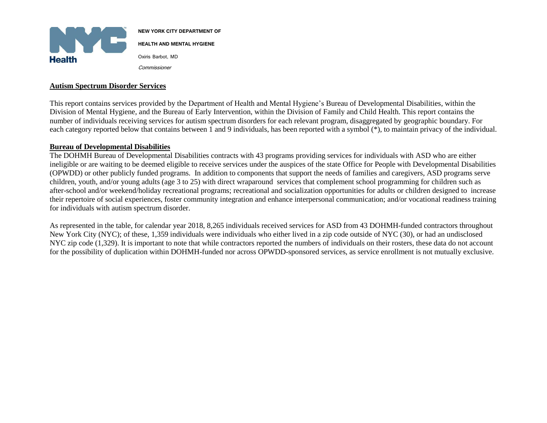

**NEW YORK CITY DEPARTMENT OF HEALTH AND MENTAL HYGIENE** Oxiris Barbot, MD

Commissioner

### **Autism Spectrum Disorder Services**

This report contains services provided by the Department of Health and Mental Hygiene's Bureau of Developmental Disabilities, within the Division of Mental Hygiene, and the Bureau of Early Intervention, within the Division of Family and Child Health. This report contains the number of individuals receiving services for autism spectrum disorders for each relevant program, disaggregated by geographic boundary. For each category reported below that contains between 1 and 9 individuals, has been reported with a symbol (\*), to maintain privacy of the individual.

### **Bureau of Developmental Disabilities**

The DOHMH Bureau of Developmental Disabilities contracts with 43 programs providing services for individuals with ASD who are either ineligible or are waiting to be deemed eligible to receive services under the auspices of the state Office for People with Developmental Disabilities (OPWDD) or other publicly funded programs. In addition to components that support the needs of families and caregivers, ASD programs serve children, youth, and/or young adults (age 3 to 25) with direct wraparound services that complement school programming for children such as after-school and/or weekend/holiday recreational programs; recreational and socialization opportunities for adults or children designed to increase their repertoire of social experiences, foster community integration and enhance interpersonal communication; and/or vocational readiness training for individuals with autism spectrum disorder.

As represented in the table, for calendar year 2018, 8,265 individuals received services for ASD from 43 DOHMH-funded contractors throughout New York City (NYC); of these, 1,359 individuals were individuals who either lived in a zip code outside of NYC (30), or had an undisclosed NYC zip code (1,329). It is important to note that while contractors reported the numbers of individuals on their rosters, these data do not account for the possibility of duplication within DOHMH-funded nor across OPWDD-sponsored services, as service enrollment is not mutually exclusive.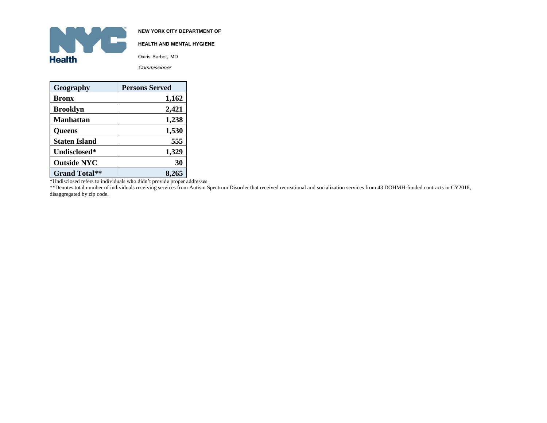

**HEALTH AND MENTAL HYGIENE**

Oxiris Barbot, MD

Commissioner

| Geography            | <b>Persons Served</b> |
|----------------------|-----------------------|
| Bronx                | 1,162                 |
| Brooklyn             | 2,421                 |
| Manhattan            | 1,238                 |
| <b>Queens</b>        | 1,530                 |
| <b>Staten Island</b> | 555                   |
| Undisclosed*         | 1,329                 |
| <b>Outside NYC</b>   | 30                    |
| <b>Grand Total**</b> | 8,265                 |

\*Undisclosed refers to individuals who didn't provide proper addresses.

\*\*Denotes total number of individuals receiving services from Autism Spectrum Disorder that received recreational and socialization services from 43 DOHMH-funded contracts in CY2018, disaggregated by zip code.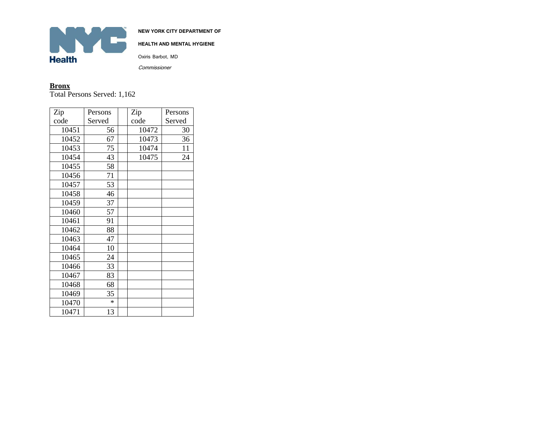

**HEALTH AND MENTAL HYGIENE**

Oxiris Barbot, MD

Commissioner

# **Bronx** Total Persons Served: 1,162

| Zip   | Persons | Zip   | Persons |
|-------|---------|-------|---------|
| code  | Served  | code  | Served  |
| 10451 | 56      | 10472 | 30      |
| 10452 | 67      | 10473 | 36      |
| 10453 | 75      | 10474 | 11      |
| 10454 | 43      | 10475 | 24      |
| 10455 | 58      |       |         |
| 10456 | 71      |       |         |
| 10457 | 53      |       |         |
| 10458 | 46      |       |         |
| 10459 | 37      |       |         |
| 10460 | 57      |       |         |
| 10461 | 91      |       |         |
| 10462 | 88      |       |         |
| 10463 | 47      |       |         |
| 10464 | 10      |       |         |
| 10465 | 24      |       |         |
| 10466 | 33      |       |         |
| 10467 | 83      |       |         |
| 10468 | 68      |       |         |
| 10469 | 35      |       |         |
| 10470 | $\ast$  |       |         |
| 10471 | 13      |       |         |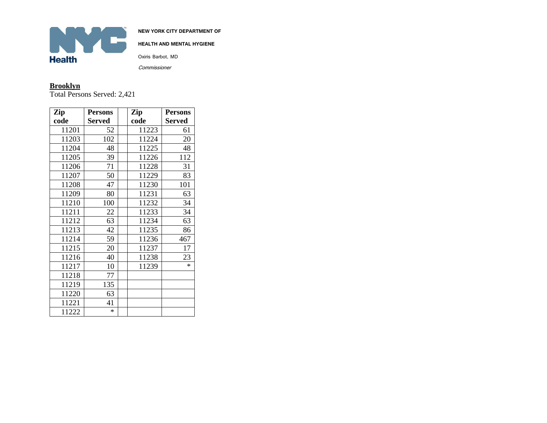

**HEALTH AND MENTAL HYGIENE**

Oxiris Barbot, MD

Commissioner

#### **Brooklyn**

Total Persons Served: 2,421

| Zip   | <b>Persons</b> | Zip   | <b>Persons</b> |
|-------|----------------|-------|----------------|
| code  | Served         | code  | Served         |
| 11201 | 52             | 11223 | 61             |
| 11203 | 102            | 11224 | 20             |
| 11204 | 48             | 11225 | 48             |
| 11205 | 39             | 11226 | 112            |
| 11206 | 71             | 11228 | 31             |
| 11207 | 50             | 11229 | 83             |
| 11208 | 47             | 11230 | 101            |
| 11209 | 80             | 11231 | 63             |
| 11210 | 100            | 11232 | 34             |
| 11211 | 22             | 11233 | 34             |
| 11212 | 63             | 11234 | 63             |
| 11213 | 42             | 11235 | 86             |
| 11214 | 59             | 11236 | 467            |
| 11215 | 20             | 11237 | 17             |
| 11216 | 40             | 11238 | 23             |
| 11217 | 10             | 11239 | $\ast$         |
| 11218 | 77             |       |                |
| 11219 | 135            |       |                |
| 11220 | 63             |       |                |
| 11221 | 41             |       |                |
| 11222 | $\ast$         |       |                |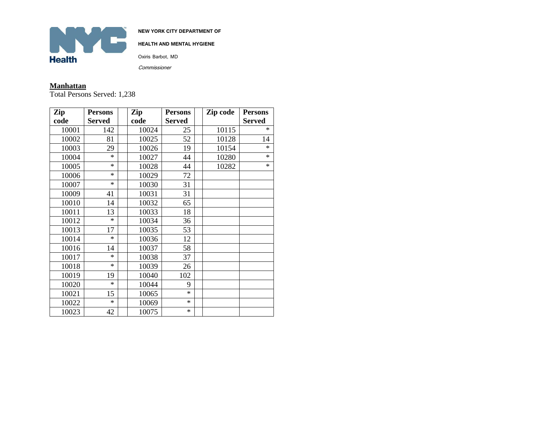

**HEALTH AND MENTAL HYGIENE**

Oxiris Barbot, MD

Commissioner

### **Manhattan**

Total Persons Served: 1,238

| Zip   | <b>Persons</b> | Zip   | <b>Persons</b> | Zip code | <b>Persons</b> |
|-------|----------------|-------|----------------|----------|----------------|
| code  | Served         | code  | Served         |          | <b>Served</b>  |
| 10001 | 142            | 10024 | 25             | 10115    | $\ast$         |
| 10002 | 81             | 10025 | 52             | 10128    | 14             |
| 10003 | 29             | 10026 | 19             | 10154    | $\ast$         |
| 10004 | $\ast$         | 10027 | 44             | 10280    | $\ast$         |
| 10005 | $\ast$         | 10028 | 44             | 10282    | $\ast$         |
| 10006 | $\ast$         | 10029 | 72             |          |                |
| 10007 | $\ast$         | 10030 | 31             |          |                |
| 10009 | 41             | 10031 | 31             |          |                |
| 10010 | 14             | 10032 | 65             |          |                |
| 10011 | 13             | 10033 | 18             |          |                |
| 10012 | $\ast$         | 10034 | 36             |          |                |
| 10013 | 17             | 10035 | 53             |          |                |
| 10014 | $\ast$         | 10036 | 12             |          |                |
| 10016 | 14             | 10037 | 58             |          |                |
| 10017 | $\ast$         | 10038 | 37             |          |                |
| 10018 | $\ast$         | 10039 | 26             |          |                |
| 10019 | 19             | 10040 | 102            |          |                |
| 10020 | $\ast$         | 10044 | 9              |          |                |
| 10021 | 15             | 10065 | $\ast$         |          |                |
| 10022 | $\ast$         | 10069 | $\ast$         |          |                |
| 10023 | 42             | 10075 | $\ast$         |          |                |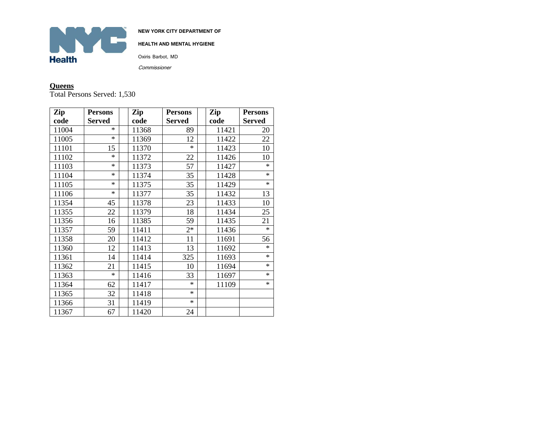

**HEALTH AND MENTAL HYGIENE**

Oxiris Barbot, MD

Commissioner

#### **Queens**

Total Persons Served: 1,530

| Zip   | <b>Persons</b> | Zip   | <b>Persons</b> | Zip   | <b>Persons</b> |
|-------|----------------|-------|----------------|-------|----------------|
| code  | Served         | code  | Served         | code  | <b>Served</b>  |
| 11004 | $\ast$         | 11368 | 89             | 11421 | 20             |
| 11005 | $\ast$         | 11369 | 12             | 11422 | 22             |
| 11101 | 15             | 11370 | $\ast$         | 11423 | 10             |
| 11102 | $\ast$         | 11372 | 22             | 11426 | 10             |
| 11103 | $\ast$         | 11373 | 57             | 11427 | $\star$        |
| 11104 | $*$            | 11374 | 35             | 11428 | $\ast$         |
| 11105 | $\ast$         | 11375 | 35             | 11429 | $\ast$         |
| 11106 | $\ast$         | 11377 | 35             | 11432 | 13             |
| 11354 | 45             | 11378 | 23             | 11433 | 10             |
| 11355 | 22             | 11379 | 18             | 11434 | 25             |
| 11356 | 16             | 11385 | 59             | 11435 | 21             |
| 11357 | 59             | 11411 | $2*$           | 11436 | $\ast$         |
| 11358 | 20             | 11412 | 11             | 11691 | 56             |
| 11360 | 12             | 11413 | 13             | 11692 | $\ast$         |
| 11361 | 14             | 11414 | 325            | 11693 | $\star$        |
| 11362 | 21             | 11415 | 10             | 11694 | $\ast$         |
| 11363 | $\ast$         | 11416 | 33             | 11697 | $\ast$         |
| 11364 | 62             | 11417 | $\ast$         | 11109 | $\ast$         |
| 11365 | 32             | 11418 | $\ast$         |       |                |
| 11366 | 31             | 11419 | $\ast$         |       |                |
| 11367 | 67             | 11420 | 24             |       |                |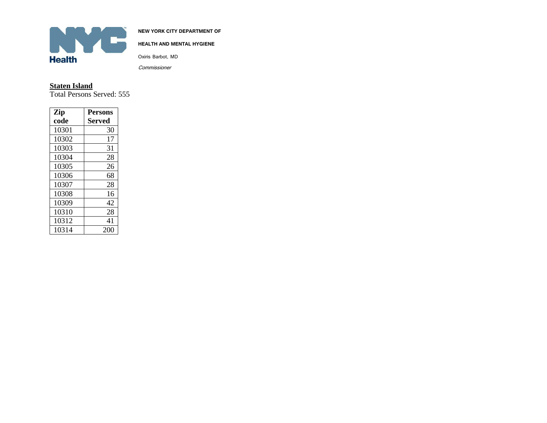

**HEALTH AND MENTAL HYGIENE**

Oxiris Barbot, MD

Commissioner

**Staten Island** Total Persons Served: 555

| Zip   | <b>Persons</b> |
|-------|----------------|
| code  | <b>Served</b>  |
| 10301 | 30             |
| 10302 | 17             |
| 10303 | 31             |
| 10304 | 28             |
| 10305 | 26             |
| 10306 | 68             |
| 10307 | 28             |
| 10308 | 16             |
| 10309 | 42             |
| 10310 | 28             |
| 10312 | 41             |
| 10314 | 200            |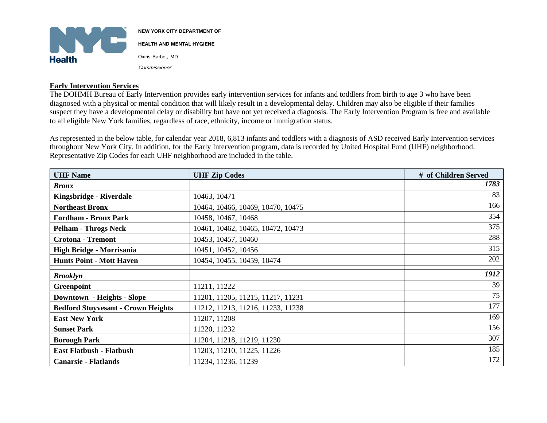

**HEALTH AND MENTAL HYGIENE** Oxiris Barbot, MD

Commissioner

# **Early Intervention Services**

The DOHMH Bureau of Early Intervention provides early intervention services for infants and toddlers from birth to age 3 who have been diagnosed with a physical or mental condition that will likely result in a developmental delay. Children may also be eligible if their families suspect they have a developmental delay or disability but have not yet received a diagnosis. The Early Intervention Program is free and available to all eligible New York families, regardless of race, ethnicity, income or immigration status.

As represented in the below table, for calendar year 2018, 6,813 infants and toddlers with a diagnosis of ASD received Early Intervention services throughout New York City. In addition, for the Early Intervention program, data is recorded by United Hospital Fund (UHF) neighborhood. Representative Zip Codes for each UHF neighborhood are included in the table.

| <b>UHF Name</b>                           | <b>UHF Zip Codes</b>              | # of Children Served |
|-------------------------------------------|-----------------------------------|----------------------|
| <b>Bronx</b>                              |                                   | 1783                 |
| Kingsbridge - Riverdale                   | 10463, 10471                      | 83                   |
| <b>Northeast Bronx</b>                    | 10464, 10466, 10469, 10470, 10475 | 166                  |
| <b>Fordham - Bronx Park</b>               | 10458, 10467, 10468               | 354                  |
| <b>Pelham - Throgs Neck</b>               | 10461, 10462, 10465, 10472, 10473 | 375                  |
| <b>Crotona - Tremont</b>                  | 10453, 10457, 10460               | 288                  |
| High Bridge - Morrisania                  | 10451, 10452, 10456               | 315                  |
| <b>Hunts Point - Mott Haven</b>           | 10454, 10455, 10459, 10474        | 202                  |
| <b>Brooklyn</b>                           |                                   | 1912                 |
| Greenpoint                                | 11211, 11222                      | 39                   |
| <b>Downtown</b> - Heights - Slope         | 11201, 11205, 11215, 11217, 11231 | 75                   |
| <b>Bedford Stuyvesant - Crown Heights</b> | 11212, 11213, 11216, 11233, 11238 | 177                  |
| <b>East New York</b>                      | 11207, 11208                      | 169                  |
| <b>Sunset Park</b>                        | 11220, 11232                      | 156                  |
| <b>Borough Park</b>                       | 11204, 11218, 11219, 11230        | 307                  |
| <b>East Flatbush - Flatbush</b>           | 11203, 11210, 11225, 11226        | 185                  |
| <b>Canarsie - Flatlands</b>               | 11234, 11236, 11239               | 172                  |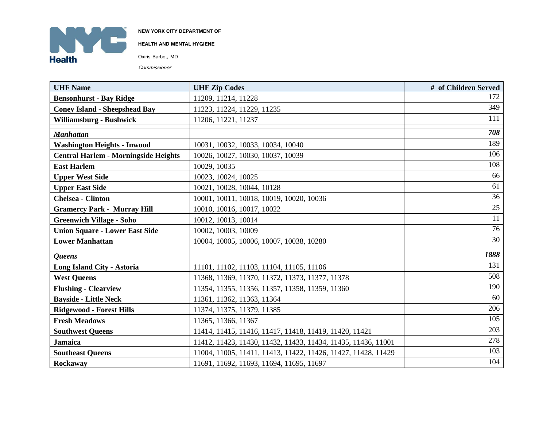

**HEALTH AND MENTAL HYGIENE**

Oxiris Barbot, MD

Commissioner

| <b>UHF Name</b>                             | <b>UHF Zip Codes</b>                                          | # of Children Served |
|---------------------------------------------|---------------------------------------------------------------|----------------------|
| <b>Bensonhurst - Bay Ridge</b>              | 11209, 11214, 11228                                           | 172                  |
| <b>Coney Island - Sheepshead Bay</b>        | 11223, 11224, 11229, 11235                                    | 349                  |
| <b>Williamsburg - Bushwick</b>              | 11206, 11221, 11237                                           | 111                  |
| <b>Manhattan</b>                            |                                                               | 708                  |
| <b>Washington Heights - Inwood</b>          | 10031, 10032, 10033, 10034, 10040                             | 189                  |
| <b>Central Harlem - Morningside Heights</b> | 10026, 10027, 10030, 10037, 10039                             | 106                  |
| <b>East Harlem</b>                          | 10029, 10035                                                  | 108                  |
| <b>Upper West Side</b>                      | 10023, 10024, 10025                                           | 66                   |
| <b>Upper East Side</b>                      | 10021, 10028, 10044, 10128                                    | 61                   |
| <b>Chelsea - Clinton</b>                    | 10001, 10011, 10018, 10019, 10020, 10036                      | 36                   |
| <b>Gramercy Park - Murray Hill</b>          | 10010, 10016, 10017, 10022                                    | $\overline{25}$      |
| <b>Greenwich Village - Soho</b>             | 10012, 10013, 10014                                           | 11                   |
| <b>Union Square - Lower East Side</b>       | 10002, 10003, 10009                                           | 76                   |
| <b>Lower Manhattan</b>                      | 10004, 10005, 10006, 10007, 10038, 10280                      | 30                   |
| <b>Oueens</b>                               |                                                               | 1888                 |
| Long Island City - Astoria                  | 11101, 11102, 11103, 11104, 11105, 11106                      | 131                  |
| <b>West Queens</b>                          | 11368, 11369, 11370, 11372, 11373, 11377, 11378               | 508                  |
| <b>Flushing - Clearview</b>                 | 11354, 11355, 11356, 11357, 11358, 11359, 11360               | 190                  |
| <b>Bayside - Little Neck</b>                | 11361, 11362, 11363, 11364                                    | 60                   |
| <b>Ridgewood - Forest Hills</b>             | 11374, 11375, 11379, 11385                                    | 206                  |
| <b>Fresh Meadows</b>                        | 11365, 11366, 11367                                           | 105                  |
| <b>Southwest Queens</b>                     | 11414, 11415, 11416, 11417, 11418, 11419, 11420, 11421        | 203                  |
| <b>Jamaica</b>                              | 11412, 11423, 11430, 11432, 11433, 11434, 11435, 11436, 11001 | 278                  |
| <b>Southeast Queens</b>                     | 11004, 11005, 11411, 11413, 11422, 11426, 11427, 11428, 11429 | 103                  |
| Rockaway                                    | 11691, 11692, 11693, 11694, 11695, 11697                      | 104                  |